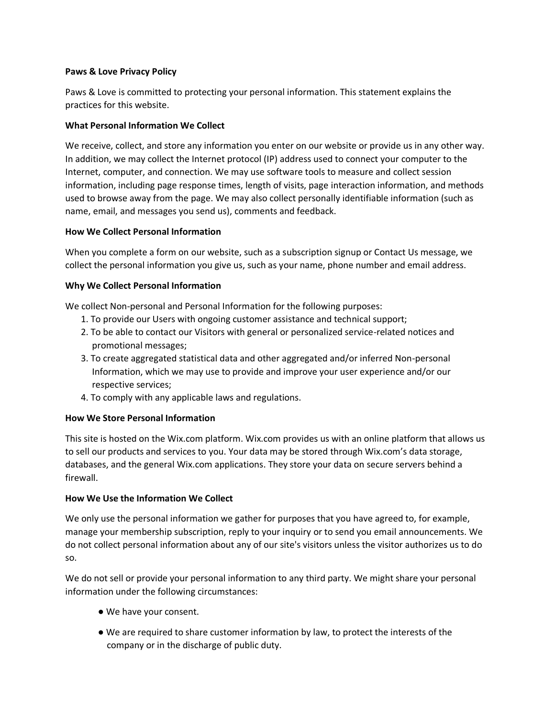### **Paws & Love Privacy Policy**

Paws & Love is committed to protecting your personal information. This statement explains the practices for this website.

## **What Personal Information We Collect**

We receive, collect, and store any information you enter on our website or provide us in any other way. In addition, we may collect the Internet protocol (IP) address used to connect your computer to the Internet, computer, and connection. We may use software tools to measure and collect session information, including page response times, length of visits, page interaction information, and methods used to browse away from the page. We may also collect personally identifiable information (such as name, email, and messages you send us), comments and feedback.

## **How We Collect Personal Information**

When you complete a form on our website, such as a subscription signup or Contact Us message, we collect the personal information you give us, such as your name, phone number and email address.

## **Why We Collect Personal Information**

We collect Non-personal and Personal Information for the following purposes:

- 1. To provide our Users with ongoing customer assistance and technical support;
- 2. To be able to contact our Visitors with general or personalized service-related notices and promotional messages;
- 3. To create aggregated statistical data and other aggregated and/or inferred Non-personal Information, which we may use to provide and improve your user experience and/or our respective services;
- 4. To comply with any applicable laws and regulations.

# **How We Store Personal Information**

This site is hosted on the Wix.com platform. Wix.com provides us with an online platform that allows us to sell our products and services to you. Your data may be stored through Wix.com's data storage, databases, and the general Wix.com applications. They store your data on secure servers behind a firewall.

## **How We Use the Information We Collect**

We only use the personal information we gather for purposes that you have agreed to, for example, manage your membership subscription, reply to your inquiry or to send you email announcements. We do not collect personal information about any of our site's visitors unless the visitor authorizes us to do so.

We do not sell or provide your personal information to any third party. We might share your personal information under the following circumstances:

- We have your consent.
- We are required to share customer information by law, to protect the interests of the company or in the discharge of public duty.